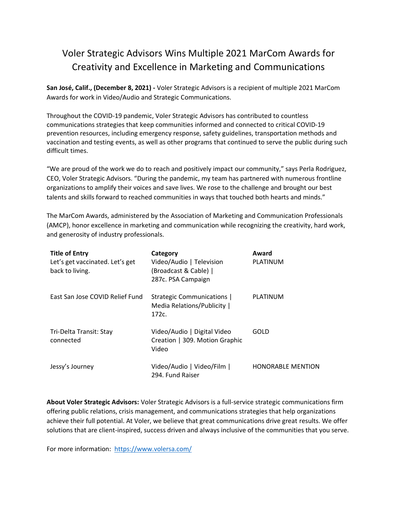## Voler Strategic Advisors Wins Multiple 2021 MarCom Awards for Creativity and Excellence in Marketing and Communications

**San José, Calif., (December 8, 2021) -** Voler Strategic Advisors is a recipient of multiple 2021 MarCom Awards for work in Video/Audio and Strategic Communications.

Throughout the COVID-19 pandemic, Voler Strategic Advisors has contributed to countless communications strategies that keep communities informed and connected to critical COVID-19 prevention resources, including emergency response, safety guidelines, transportation methods and vaccination and testing events, as well as other programs that continued to serve the public during such difficult times.

"We are proud of the work we do to reach and positively impact our community," says Perla Rodriguez, CEO, Voler Strategic Advisors. "During the pandemic, my team has partnered with numerous frontline organizations to amplify their voices and save lives. We rose to the challenge and brought our best talents and skills forward to reached communities in ways that touched both hearts and minds."

The MarCom Awards, administered by the Association of Marketing and Communication Professionals (AMCP), honor excellence in marketing and communication while recognizing the creativity, hard work, and generosity of industry professionals.

| <b>Title of Entry</b><br>Let's get vaccinated. Let's get<br>back to living. | Category<br>Video/Audio   Television<br>(Broadcast & Cable)  <br>287c. PSA Campaign | Award<br>PLATINUM        |
|-----------------------------------------------------------------------------|-------------------------------------------------------------------------------------|--------------------------|
| East San Jose COVID Relief Fund                                             | Strategic Communications  <br>Media Relations/Publicity  <br>172c.                  | PLATINUM                 |
| Tri-Delta Transit: Stay<br>connected                                        | Video/Audio   Digital Video<br>Creation   309. Motion Graphic<br>Video              | GOLD                     |
| Jessy's Journey                                                             | Video/Audio   Video/Film  <br>294. Fund Raiser                                      | <b>HONORABLE MENTION</b> |

**About Voler Strategic Advisors:** Voler Strategic Advisors is a full-service strategic communications firm offering public relations, crisis management, and communications strategies that help organizations achieve their full potential. At Voler, we believe that great communications drive great results. We offer solutions that are client-inspired, success driven and always inclusive of the communities that you serve.

For more information: <https://www.volersa.com/>